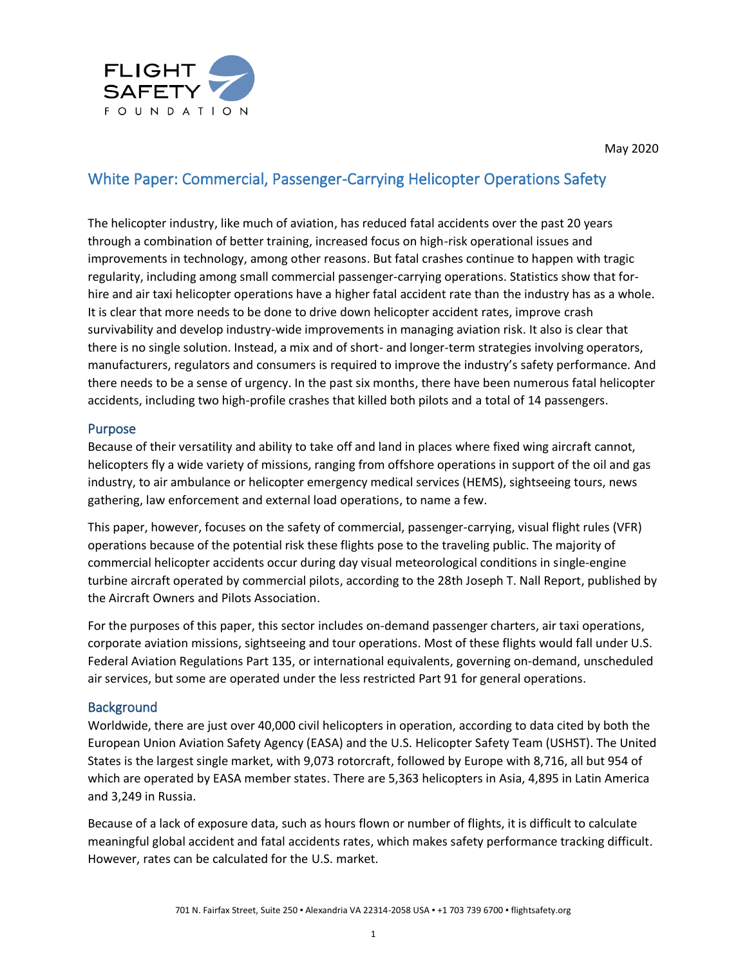

# White Paper: Commercial, Passenger-Carrying Helicopter Operations Safety

The helicopter industry, like much of aviation, has reduced fatal accidents over the past 20 years through a combination of better training, increased focus on high-risk operational issues and improvements in technology, among other reasons. But fatal crashes continue to happen with tragic regularity, including among small commercial passenger-carrying operations. Statistics show that forhire and air taxi helicopter operations have a higher fatal accident rate than the industry has as a whole. It is clear that more needs to be done to drive down helicopter accident rates, improve crash survivability and develop industry-wide improvements in managing aviation risk. It also is clear that there is no single solution. Instead, a mix and of short- and longer-term strategies involving operators, manufacturers, regulators and consumers is required to improve the industry's safety performance. And there needs to be a sense of urgency. In the past six months, there have been numerous fatal helicopter accidents, including two high-profile crashes that killed both pilots and a total of 14 passengers.

#### Purpose

Because of their versatility and ability to take off and land in places where fixed wing aircraft cannot, helicopters fly a wide variety of missions, ranging from offshore operations in support of the oil and gas industry, to air ambulance or helicopter emergency medical services (HEMS), sightseeing tours, news gathering, law enforcement and external load operations, to name a few.

This paper, however, focuses on the safety of commercial, passenger-carrying, visual flight rules (VFR) operations because of the potential risk these flights pose to the traveling public. The majority of commercial helicopter accidents occur during day visual meteorological conditions in single-engine turbine aircraft operated by commercial pilots, according to the 28th Joseph T. Nall Report, published by the Aircraft Owners and Pilots Association.

For the purposes of this paper, this sector includes on-demand passenger charters, air taxi operations, corporate aviation missions, sightseeing and tour operations. Most of these flights would fall under U.S. Federal Aviation Regulations Part 135, or international equivalents, governing on-demand, unscheduled air services, but some are operated under the less restricted Part 91 for general operations.

## **Background**

Worldwide, there are just over 40,000 civil helicopters in operation, according to data cited by both the European Union Aviation Safety Agency (EASA) and the U.S. Helicopter Safety Team (USHST). The United States is the largest single market, with 9,073 rotorcraft, followed by Europe with 8,716, all but 954 of which are operated by EASA member states. There are 5,363 helicopters in Asia, 4,895 in Latin America and 3,249 in Russia.

Because of a lack of exposure data, such as hours flown or number of flights, it is difficult to calculate meaningful global accident and fatal accidents rates, which makes safety performance tracking difficult. However, rates can be calculated for the U.S. market.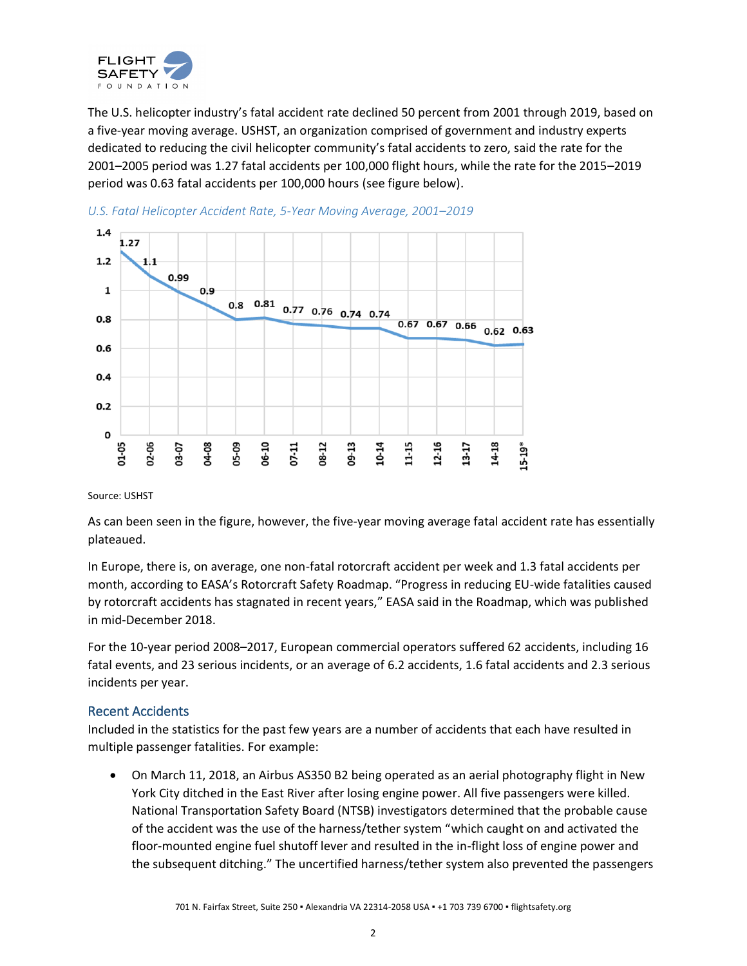

The U.S. helicopter industry's fatal accident rate declined 50 percent from 2001 through 2019, based on a five-year moving average. USHST, an organization comprised of government and industry experts dedicated to reducing the civil helicopter community's fatal accidents to zero, said the rate for the 2001–2005 period was 1.27 fatal accidents per 100,000 flight hours, while the rate for the 2015–2019 period was 0.63 fatal accidents per 100,000 hours (see figure below).





Source: USHST

As can been seen in the figure, however, the five-year moving average fatal accident rate has essentially plateaued.

In Europe, there is, on average, one non-fatal rotorcraft accident per week and 1.3 fatal accidents per month, according to EASA's Rotorcraft Safety Roadmap. "Progress in reducing EU-wide fatalities caused by rotorcraft accidents has stagnated in recent years," EASA said in the Roadmap, which was published in mid-December 2018.

For the 10-year period 2008–2017, European commercial operators suffered 62 accidents, including 16 fatal events, and 23 serious incidents, or an average of 6.2 accidents, 1.6 fatal accidents and 2.3 serious incidents per year.

## Recent Accidents

Included in the statistics for the past few years are a number of accidents that each have resulted in multiple passenger fatalities. For example:

• On March 11, 2018, an Airbus AS350 B2 being operated as an aerial photography flight in New York City ditched in the East River after losing engine power. All five passengers were killed. National Transportation Safety Board (NTSB) investigators determined that the probable cause of the accident was the use of the harness/tether system "which caught on and activated the floor-mounted engine fuel shutoff lever and resulted in the in-flight loss of engine power and the subsequent ditching." The uncertified harness/tether system also prevented the passengers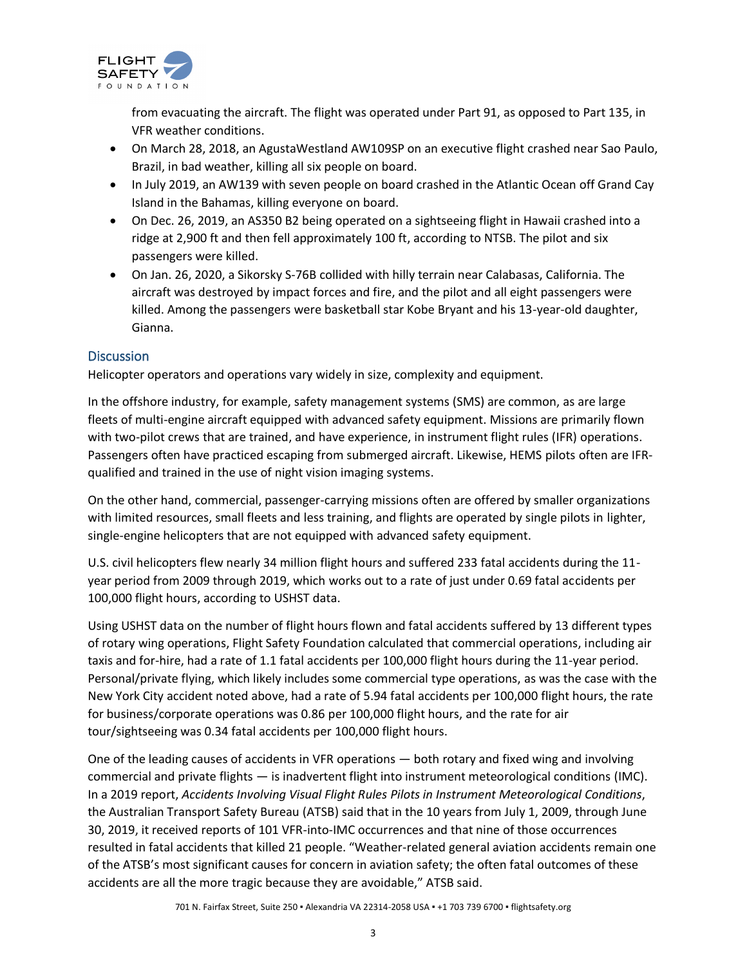

from evacuating the aircraft. The flight was operated under Part 91, as opposed to Part 135, in VFR weather conditions.

- On March 28, 2018, an AgustaWestland AW109SP on an executive flight crashed near Sao Paulo, Brazil, in bad weather, killing all six people on board.
- In July 2019, an AW139 with seven people on board crashed in the Atlantic Ocean off Grand Cay Island in the Bahamas, killing everyone on board.
- On Dec. 26, 2019, an AS350 B2 being operated on a sightseeing flight in Hawaii crashed into a ridge at 2,900 ft and then fell approximately 100 ft, according to NTSB. The pilot and six passengers were killed.
- On Jan. 26, 2020, a Sikorsky S-76B collided with hilly terrain near Calabasas, California. The aircraft was destroyed by impact forces and fire, and the pilot and all eight passengers were killed. Among the passengers were basketball star Kobe Bryant and his 13-year-old daughter, Gianna.

## **Discussion**

Helicopter operators and operations vary widely in size, complexity and equipment.

In the offshore industry, for example, safety management systems (SMS) are common, as are large fleets of multi-engine aircraft equipped with advanced safety equipment. Missions are primarily flown with two-pilot crews that are trained, and have experience, in instrument flight rules (IFR) operations. Passengers often have practiced escaping from submerged aircraft. Likewise, HEMS pilots often are IFRqualified and trained in the use of night vision imaging systems.

On the other hand, commercial, passenger-carrying missions often are offered by smaller organizations with limited resources, small fleets and less training, and flights are operated by single pilots in lighter, single-engine helicopters that are not equipped with advanced safety equipment.

U.S. civil helicopters flew nearly 34 million flight hours and suffered 233 fatal accidents during the 11 year period from 2009 through 2019, which works out to a rate of just under 0.69 fatal accidents per 100,000 flight hours, according to USHST data.

Using USHST data on the number of flight hours flown and fatal accidents suffered by 13 different types of rotary wing operations, Flight Safety Foundation calculated that commercial operations, including air taxis and for-hire, had a rate of 1.1 fatal accidents per 100,000 flight hours during the 11-year period. Personal/private flying, which likely includes some commercial type operations, as was the case with the New York City accident noted above, had a rate of 5.94 fatal accidents per 100,000 flight hours, the rate for business/corporate operations was 0.86 per 100,000 flight hours, and the rate for air tour/sightseeing was 0.34 fatal accidents per 100,000 flight hours.

One of the leading causes of accidents in VFR operations — both rotary and fixed wing and involving commercial and private flights — is inadvertent flight into instrument meteorological conditions (IMC). In a 2019 report, *Accidents Involving Visual Flight Rules Pilots in Instrument Meteorological Conditions*, the Australian Transport Safety Bureau (ATSB) said that in the 10 years from July 1, 2009, through June 30, 2019, it received reports of 101 VFR-into-IMC occurrences and that nine of those occurrences resulted in fatal accidents that killed 21 people. "Weather-related general aviation accidents remain one of the ATSB's most significant causes for concern in aviation safety; the often fatal outcomes of these accidents are all the more tragic because they are avoidable," ATSB said.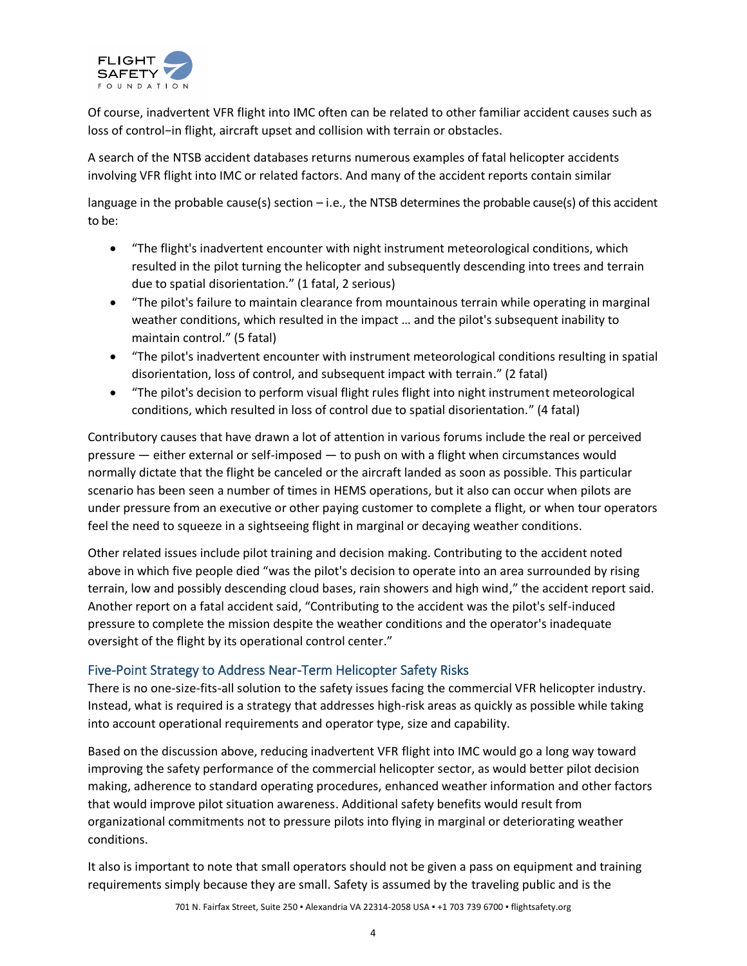

Of course, inadvertent VFR flight into IMC often can be related to other familiar accident causes such as loss of control−in flight, aircraft upset and collision with terrain or obstacles.

A search of the NTSB accident databases returns numerous examples of fatal helicopter accidents involving VFR flight into IMC or related factors. And many of the accident reports contain similar

language in the probable cause(s) section  $-i.e.,$  the NTSB determines the probable cause(s) of this accident to be:

- "The flight's inadvertent encounter with night instrument meteorological conditions, which resulted in the pilot turning the helicopter and subsequently descending into trees and terrain due to spatial disorientation." (1 fatal, 2 serious)
- "The pilot's failure to maintain clearance from mountainous terrain while operating in marginal weather conditions, which resulted in the impact … and the pilot's subsequent inability to maintain control." (5 fatal)
- "The pilot's inadvertent encounter with instrument meteorological conditions resulting in spatial disorientation, loss of control, and subsequent impact with terrain." (2 fatal)
- "The pilot's decision to perform visual flight rules flight into night instrument meteorological conditions, which resulted in loss of control due to spatial disorientation." (4 fatal)

Contributory causes that have drawn a lot of attention in various forums include the real or perceived pressure — either external or self-imposed — to push on with a flight when circumstances would normally dictate that the flight be canceled or the aircraft landed as soon as possible. This particular scenario has been seen a number of times in HEMS operations, but it also can occur when pilots are under pressure from an executive or other paying customer to complete a flight, or when tour operators feel the need to squeeze in a sightseeing flight in marginal or decaying weather conditions.

Other related issues include pilot training and decision making. Contributing to the accident noted above in which five people died "was the pilot's decision to operate into an area surrounded by rising terrain, low and possibly descending cloud bases, rain showers and high wind," the accident report said. Another report on a fatal accident said, "Contributing to the accident was the pilot's self-induced pressure to complete the mission despite the weather conditions and the operator's inadequate oversight of the flight by its operational control center."

## Five-Point Strategy to Address Near-Term Helicopter Safety Risks

There is no one-size-fits-all solution to the safety issues facing the commercial VFR helicopter industry. Instead, what is required is a strategy that addresses high-risk areas as quickly as possible while taking into account operational requirements and operator type, size and capability.

Based on the discussion above, reducing inadvertent VFR flight into IMC would go a long way toward improving the safety performance of the commercial helicopter sector, as would better pilot decision making, adherence to standard operating procedures, enhanced weather information and other factors that would improve pilot situation awareness. Additional safety benefits would result from organizational commitments not to pressure pilots into flying in marginal or deteriorating weather conditions.

It also is important to note that small operators should not be given a pass on equipment and training requirements simply because they are small. Safety is assumed by the traveling public and is the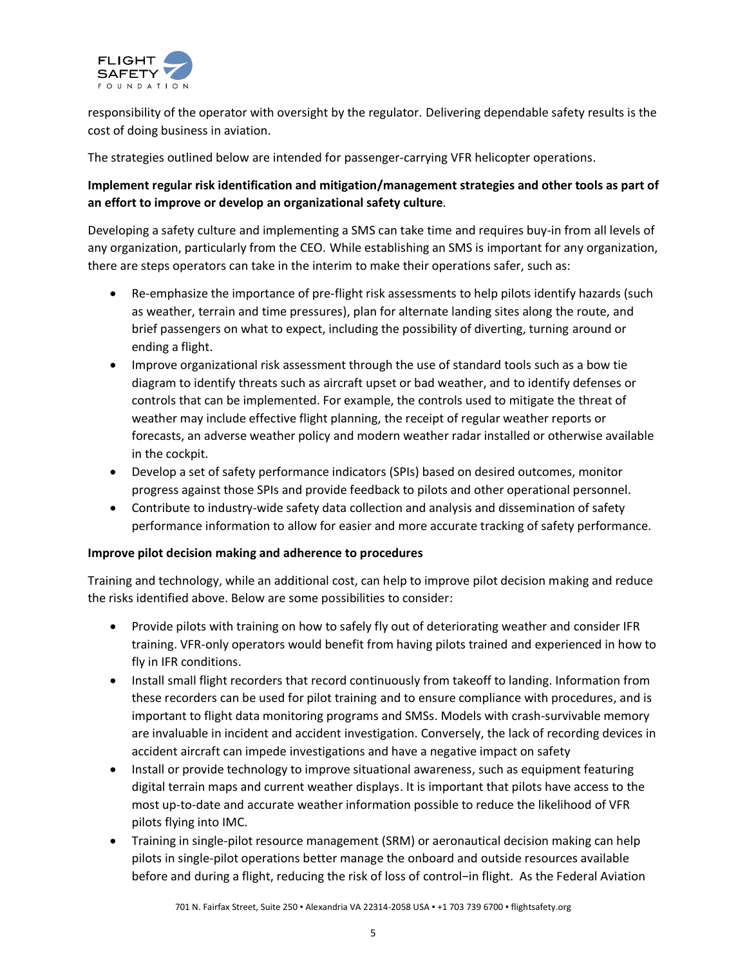

responsibility of the operator with oversight by the regulator. Delivering dependable safety results is the cost of doing business in aviation.

The strategies outlined below are intended for passenger-carrying VFR helicopter operations.

## **Implement regular risk identification and mitigation/management strategies and other tools as part of an effort to improve or develop an organizational safety culture***.*

Developing a safety culture and implementing a SMS can take time and requires buy-in from all levels of any organization, particularly from the CEO. While establishing an SMS is important for any organization, there are steps operators can take in the interim to make their operations safer, such as:

- Re-emphasize the importance of pre-flight risk assessments to help pilots identify hazards (such as weather, terrain and time pressures), plan for alternate landing sites along the route, and brief passengers on what to expect, including the possibility of diverting, turning around or ending a flight.
- Improve organizational risk assessment through the use of standard tools such as a bow tie diagram to identify threats such as aircraft upset or bad weather, and to identify defenses or controls that can be implemented. For example, the controls used to mitigate the threat of weather may include effective flight planning, the receipt of regular weather reports or forecasts, an adverse weather policy and modern weather radar installed or otherwise available in the cockpit.
- Develop a set of safety performance indicators (SPIs) based on desired outcomes, monitor progress against those SPIs and provide feedback to pilots and other operational personnel.
- Contribute to industry-wide safety data collection and analysis and dissemination of safety performance information to allow for easier and more accurate tracking of safety performance.

#### **Improve pilot decision making and adherence to procedures**

Training and technology, while an additional cost, can help to improve pilot decision making and reduce the risks identified above. Below are some possibilities to consider:

- Provide pilots with training on how to safely fly out of deteriorating weather and consider IFR training. VFR-only operators would benefit from having pilots trained and experienced in how to fly in IFR conditions.
- Install small flight recorders that record continuously from takeoff to landing. Information from these recorders can be used for pilot training and to ensure compliance with procedures, and is important to flight data monitoring programs and SMSs. Models with crash-survivable memory are invaluable in incident and accident investigation. Conversely, the lack of recording devices in accident aircraft can impede investigations and have a negative impact on safety
- Install or provide technology to improve situational awareness, such as equipment featuring digital terrain maps and current weather displays. It is important that pilots have access to the most up-to-date and accurate weather information possible to reduce the likelihood of VFR pilots flying into IMC.
- Training in single-pilot resource management (SRM) or aeronautical decision making can help pilots in single-pilot operations better manage the onboard and outside resources available before and during a flight, reducing the risk of loss of control−in flight. As the Federal Aviation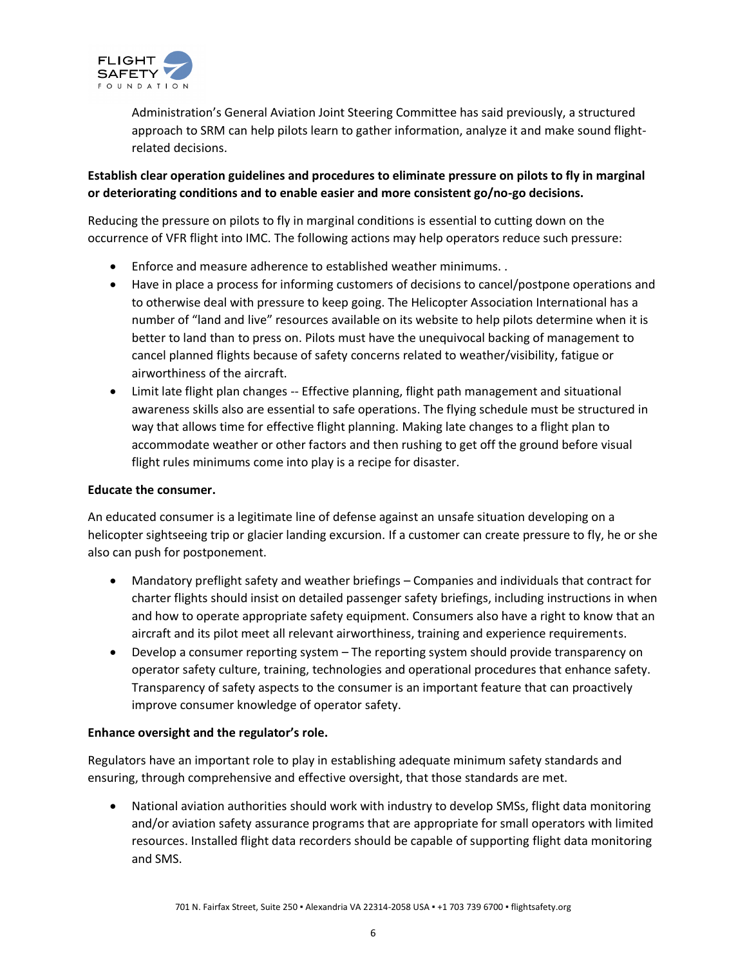

Administration's General Aviation Joint Steering Committee has said previously, a structured approach to SRM can help pilots learn to gather information, analyze it and make sound flightrelated decisions.

## **Establish clear operation guidelines and procedures to eliminate pressure on pilots to fly in marginal or deteriorating conditions and to enable easier and more consistent go/no-go decisions.**

Reducing the pressure on pilots to fly in marginal conditions is essential to cutting down on the occurrence of VFR flight into IMC. The following actions may help operators reduce such pressure:

- Enforce and measure adherence to established weather minimums. .
- Have in place a process for informing customers of decisions to cancel/postpone operations and to otherwise deal with pressure to keep going. The Helicopter Association International has a number of "land and live" resources available on its website to help pilots determine when it is better to land than to press on. Pilots must have the unequivocal backing of management to cancel planned flights because of safety concerns related to weather/visibility, fatigue or airworthiness of the aircraft.
- Limit late flight plan changes -- Effective planning, flight path management and situational awareness skills also are essential to safe operations. The flying schedule must be structured in way that allows time for effective flight planning. Making late changes to a flight plan to accommodate weather or other factors and then rushing to get off the ground before visual flight rules minimums come into play is a recipe for disaster.

#### **Educate the consumer.**

An educated consumer is a legitimate line of defense against an unsafe situation developing on a helicopter sightseeing trip or glacier landing excursion. If a customer can create pressure to fly, he or she also can push for postponement.

- Mandatory preflight safety and weather briefings Companies and individuals that contract for charter flights should insist on detailed passenger safety briefings, including instructions in when and how to operate appropriate safety equipment. Consumers also have a right to know that an aircraft and its pilot meet all relevant airworthiness, training and experience requirements.
- Develop a consumer reporting system The reporting system should provide transparency on operator safety culture, training, technologies and operational procedures that enhance safety. Transparency of safety aspects to the consumer is an important feature that can proactively improve consumer knowledge of operator safety.

#### **Enhance oversight and the regulator's role.**

Regulators have an important role to play in establishing adequate minimum safety standards and ensuring, through comprehensive and effective oversight, that those standards are met.

• National aviation authorities should work with industry to develop SMSs, flight data monitoring and/or aviation safety assurance programs that are appropriate for small operators with limited resources. Installed flight data recorders should be capable of supporting flight data monitoring and SMS.